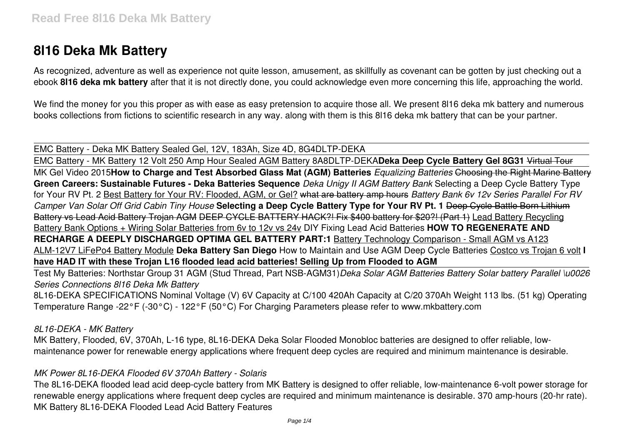# **8l16 Deka Mk Battery**

As recognized, adventure as well as experience not quite lesson, amusement, as skillfully as covenant can be gotten by just checking out a ebook **8l16 deka mk battery** after that it is not directly done, you could acknowledge even more concerning this life, approaching the world.

We find the money for you this proper as with ease as easy pretension to acquire those all. We present 8l16 deka mk battery and numerous books collections from fictions to scientific research in any way. along with them is this 8l16 deka mk battery that can be your partner.

EMC Battery - Deka MK Battery Sealed Gel, 12V, 183Ah, Size 4D, 8G4DLTP-DEKA

EMC Battery - MK Battery 12 Volt 250 Amp Hour Sealed AGM Battery 8A8DLTP-DEKA**Deka Deep Cycle Battery Gel 8G31** Virtual Tour MK Gel Video 2015**How to Charge and Test Absorbed Glass Mat (AGM) Batteries** *Equalizing Batteries* Choosing the Right Marine Battery **Green Careers: Sustainable Futures - Deka Batteries Sequence** *Deka Unigy II AGM Battery Bank* Selecting a Deep Cycle Battery Type for Your RV Pt. 2 Best Battery for Your RV: Flooded, AGM, or Gel? what are battery amp hours *Battery Bank 6v 12v Series Parallel For RV Camper Van Solar Off Grid Cabin Tiny House* **Selecting a Deep Cycle Battery Type for Your RV Pt. 1** Deep Cycle Battle Born Lithium Battery vs Lead Acid Battery Trojan AGM DEEP CYCLE BATTERY HACK?! Fix \$400 battery for \$20?! (Part 1) Lead Battery Recycling Battery Bank Options + Wiring Solar Batteries from 6v to 12v vs 24v DIY Fixing Lead Acid Batteries **HOW TO REGENERATE AND RECHARGE A DEEPLY DISCHARGED OPTIMA GEL BATTERY PART:1** Battery Technology Comparison - Small AGM vs A123 ALM-12V7 LiFePo4 Battery Module **Deka Battery San Diego** How to Maintain and Use AGM Deep Cycle Batteries Costco vs Trojan 6 volt **I have HAD IT with these Trojan L16 flooded lead acid batteries! Selling Up from Flooded to AGM**

Test My Batteries: Northstar Group 31 AGM (Stud Thread, Part NSB-AGM31)*Deka Solar AGM Batteries Battery Solar battery Parallel \u0026 Series Connections 8l16 Deka Mk Battery*

8L16-DEKA SPECIFICATIONS Nominal Voltage (V) 6V Capacity at C/100 420Ah Capacity at C/20 370Ah Weight 113 lbs. (51 kg) Operating Temperature Range -22°F (-30°C) - 122°F (50°C) For Charging Parameters please refer to www.mkbattery.com

*8L16-DEKA - MK Battery*

MK Battery, Flooded, 6V, 370Ah, L-16 type, 8L16-DEKA Deka Solar Flooded Monobloc batteries are designed to offer reliable, lowmaintenance power for renewable energy applications where frequent deep cycles are required and minimum maintenance is desirable.

#### *MK Power 8L16-DEKA Flooded 6V 370Ah Battery - Solaris*

The 8L16-DEKA flooded lead acid deep-cycle battery from MK Battery is designed to offer reliable, low-maintenance 6-volt power storage for renewable energy applications where frequent deep cycles are required and minimum maintenance is desirable. 370 amp-hours (20-hr rate). MK Battery 8L16-DEKA Flooded Lead Acid Battery Features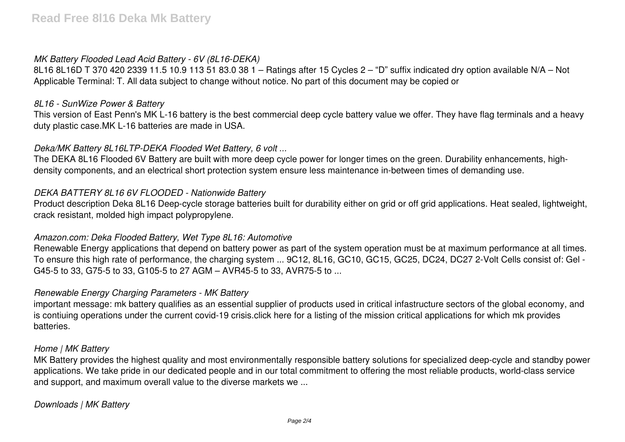## *MK Battery Flooded Lead Acid Battery - 6V (8L16-DEKA)*

8L16 8L16D T 370 420 2339 11.5 10.9 113 51 83.0 38 1 – Ratings after 15 Cycles 2 – "D" suffix indicated dry option available N/A – Not Applicable Terminal: T. All data subject to change without notice. No part of this document may be copied or

#### *8L16 - SunWize Power & Battery*

This version of East Penn's MK L-16 battery is the best commercial deep cycle battery value we offer. They have flag terminals and a heavy duty plastic case.MK L-16 batteries are made in USA.

## *Deka/MK Battery 8L16LTP-DEKA Flooded Wet Battery, 6 volt ...*

The DEKA 8L16 Flooded 6V Battery are built with more deep cycle power for longer times on the green. Durability enhancements, highdensity components, and an electrical short protection system ensure less maintenance in-between times of demanding use.

## *DEKA BATTERY 8L16 6V FLOODED - Nationwide Battery*

Product description Deka 8L16 Deep-cycle storage batteries built for durability either on grid or off grid applications. Heat sealed, lightweight, crack resistant, molded high impact polypropylene.

#### *Amazon.com: Deka Flooded Battery, Wet Type 8L16: Automotive*

Renewable Energy applications that depend on battery power as part of the system operation must be at maximum performance at all times. To ensure this high rate of performance, the charging system ... 9C12, 8L16, GC10, GC15, GC25, DC24, DC27 2-Volt Cells consist of: Gel - G45-5 to 33, G75-5 to 33, G105-5 to 27 AGM – AVR45-5 to 33, AVR75-5 to ...

#### *Renewable Energy Charging Parameters - MK Battery*

important message: mk battery qualifies as an essential supplier of products used in critical infastructure sectors of the global economy, and is contiuing operations under the current covid-19 crisis.click here for a listing of the mission critical applications for which mk provides batteries.

#### *Home | MK Battery*

MK Battery provides the highest quality and most environmentally responsible battery solutions for specialized deep-cycle and standby power applications. We take pride in our dedicated people and in our total commitment to offering the most reliable products, world-class service and support, and maximum overall value to the diverse markets we ...

# *Downloads | MK Battery*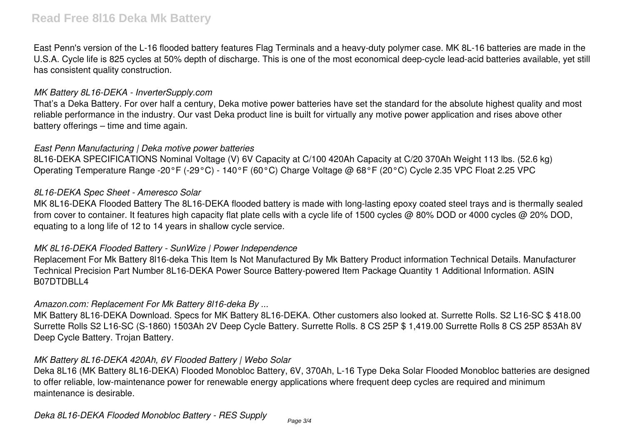East Penn's version of the L-16 flooded battery features Flag Terminals and a heavy-duty polymer case. MK 8L-16 batteries are made in the U.S.A. Cycle life is 825 cycles at 50% depth of discharge. This is one of the most economical deep-cycle lead-acid batteries available, yet still has consistent quality construction.

## *MK Battery 8L16-DEKA - InverterSupply.com*

That's a Deka Battery. For over half a century, Deka motive power batteries have set the standard for the absolute highest quality and most reliable performance in the industry. Our vast Deka product line is built for virtually any motive power application and rises above other battery offerings – time and time again.

# *East Penn Manufacturing | Deka motive power batteries*

8L16-DEKA SPECIFICATIONS Nominal Voltage (V) 6V Capacity at C/100 420Ah Capacity at C/20 370Ah Weight 113 lbs. (52.6 kg) Operating Temperature Range -20°F (-29°C) - 140°F (60°C) Charge Voltage @ 68°F (20°C) Cycle 2.35 VPC Float 2.25 VPC

## *8L16-DEKA Spec Sheet - Ameresco Solar*

MK 8L16-DEKA Flooded Battery The 8L16-DEKA flooded battery is made with long-lasting epoxy coated steel trays and is thermally sealed from cover to container. It features high capacity flat plate cells with a cycle life of 1500 cycles @ 80% DOD or 4000 cycles @ 20% DOD, equating to a long life of 12 to 14 years in shallow cycle service.

# *MK 8L16-DEKA Flooded Battery - SunWize | Power Independence*

Replacement For Mk Battery 8l16-deka This Item Is Not Manufactured By Mk Battery Product information Technical Details. Manufacturer Technical Precision Part Number 8L16-DEKA Power Source Battery-powered Item Package Quantity 1 Additional Information. ASIN B07DTDBLL4

# *Amazon.com: Replacement For Mk Battery 8l16-deka By ...*

MK Battery 8L16-DEKA Download. Specs for MK Battery 8L16-DEKA. Other customers also looked at. Surrette Rolls. S2 L16-SC \$ 418.00 Surrette Rolls S2 L16-SC (S-1860) 1503Ah 2V Deep Cycle Battery. Surrette Rolls. 8 CS 25P \$ 1,419.00 Surrette Rolls 8 CS 25P 853Ah 8V Deep Cycle Battery. Trojan Battery.

# *MK Battery 8L16-DEKA 420Ah, 6V Flooded Battery | Webo Solar*

Deka 8L16 (MK Battery 8L16-DEKA) Flooded Monobloc Battery, 6V, 370Ah, L-16 Type Deka Solar Flooded Monobloc batteries are designed to offer reliable, low-maintenance power for renewable energy applications where frequent deep cycles are required and minimum maintenance is desirable.